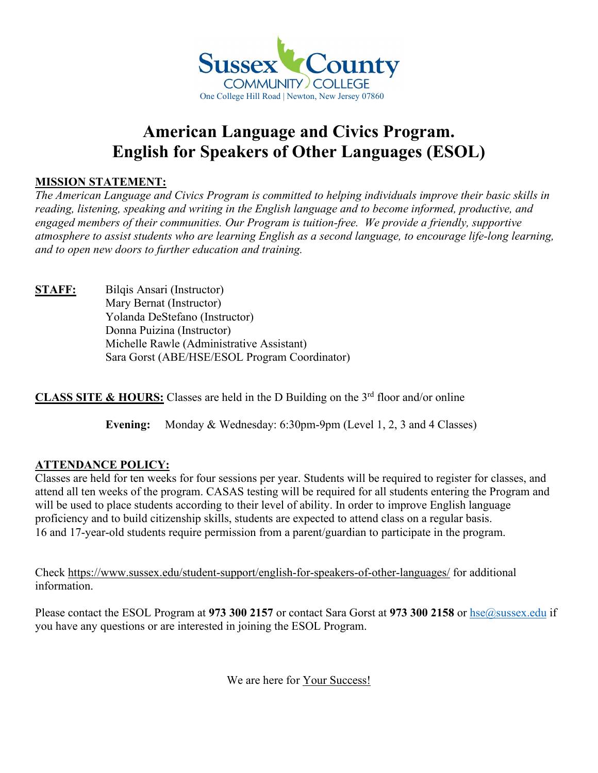

## **American Language and Civics Program. English for Speakers of Other Languages (ESOL)**

## **MISSION STATEMENT:**

*The American Language and Civics Program is committed to helping individuals improve their basic skills in reading, listening, speaking and writing in the English language and to become informed, productive, and engaged members of their communities. Our Program is tuition-free. We provide a friendly, supportive atmosphere to assist students who are learning English as a second language, to encourage life-long learning, and to open new doors to further education and training.*

**STAFF:** Bilqis Ansari (Instructor) Mary Bernat (Instructor) Yolanda DeStefano (Instructor) Donna Puizina (Instructor) Michelle Rawle (Administrative Assistant) Sara Gorst (ABE/HSE/ESOL Program Coordinator)

**CLASS SITE & HOURS:** Classes are held in the D Building on the 3<sup>rd</sup> floor and/or online

**Evening:** Monday & Wednesday: 6:30pm-9pm (Level 1, 2, 3 and 4 Classes)

## **ATTENDANCE POLICY:**

Classes are held for ten weeks for four sessions per year. Students will be required to register for classes, and attend all ten weeks of the program. CASAS testing will be required for all students entering the Program and will be used to place students according to their level of ability. In order to improve English language proficiency and to build citizenship skills, students are expected to attend class on a regular basis. 16 and 17-year-old students require permission from a parent/guardian to participate in the program.

Check<https://www.sussex.edu/student-support/english-for-speakers-of-other-languages/> for additional information.

Please contact the ESOL Program at 973 300 2157 or contact Sara Gorst at 973 300 2158 or [hse@sussex.edu](mailto:hse@sussex.edu) if you have any questions or are interested in joining the ESOL Program.

We are here for Your Success!